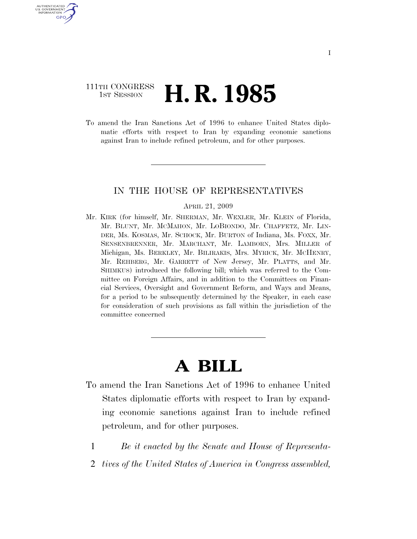## 111TH CONGRESS **1st Session H. R. 1985**

U.S. GOVERNMENT GPO

> To amend the Iran Sanctions Act of 1996 to enhance United States diplomatic efforts with respect to Iran by expanding economic sanctions against Iran to include refined petroleum, and for other purposes.

### IN THE HOUSE OF REPRESENTATIVES

#### APRIL 21, 2009

Mr. KIRK (for himself, Mr. SHERMAN, Mr. WEXLER, Mr. KLEIN of Florida, Mr. BLUNT, Mr. MCMAHON, Mr. LOBIONDO, Mr. CHAFFETZ, Mr. LIN-DER, Ms. KOSMAS, Mr. SCHOCK, Mr. BURTON of Indiana, Ms. FOXX, Mr. SENSENBRENNER, Mr. MARCHANT, Mr. LAMBORN, Mrs. MILLER of Michigan, Ms. BERKLEY, Mr. BILIRAKIS, Mrs. MYRICK, Mr. MCHENRY, Mr. REHBERG, Mr. GARRETT of New Jersey, Mr. PLATTS, and Mr. SHIMKUS) introduced the following bill; which was referred to the Committee on Foreign Affairs, and in addition to the Committees on Financial Services, Oversight and Government Reform, and Ways and Means, for a period to be subsequently determined by the Speaker, in each case for consideration of such provisions as fall within the jurisdiction of the committee concerned

# **A BILL**

- To amend the Iran Sanctions Act of 1996 to enhance United States diplomatic efforts with respect to Iran by expanding economic sanctions against Iran to include refined petroleum, and for other purposes.
	- 1 *Be it enacted by the Senate and House of Representa-*
	- 2 *tives of the United States of America in Congress assembled,*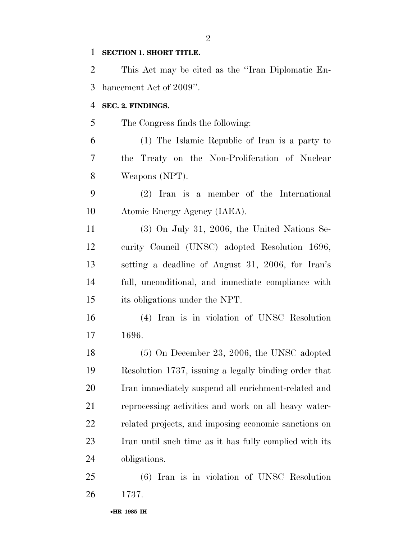### **SECTION 1. SHORT TITLE.**

 This Act may be cited as the ''Iran Diplomatic En-hancement Act of 2009''.

### **SEC. 2. FINDINGS.**

The Congress finds the following:

 (1) The Islamic Republic of Iran is a party to the Treaty on the Non-Proliferation of Nuclear Weapons (NPT).

 (2) Iran is a member of the International Atomic Energy Agency (IAEA).

 (3) On July 31, 2006, the United Nations Se- curity Council (UNSC) adopted Resolution 1696, setting a deadline of August 31, 2006, for Iran's full, unconditional, and immediate compliance with its obligations under the NPT.

 (4) Iran is in violation of UNSC Resolution 1696.

 (5) On December 23, 2006, the UNSC adopted Resolution 1737, issuing a legally binding order that Iran immediately suspend all enrichment-related and reprocessing activities and work on all heavy water- related projects, and imposing economic sanctions on Iran until such time as it has fully complied with its obligations.

 (6) Iran is in violation of UNSC Resolution 1737.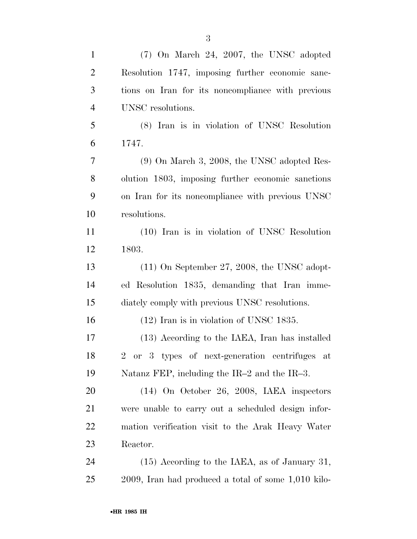| $\mathbf{1}$   | $(7)$ On March 24, 2007, the UNSC adopted                |
|----------------|----------------------------------------------------------|
| $\overline{2}$ | Resolution 1747, imposing further economic sanc-         |
| 3              | tions on Iran for its noncompliance with previous        |
| $\overline{4}$ | UNSC resolutions.                                        |
| 5              | (8) Iran is in violation of UNSC Resolution              |
| 6              | 1747.                                                    |
| 7              | $(9)$ On March 3, 2008, the UNSC adopted Res-            |
| 8              | olution 1803, imposing further economic sanctions        |
| 9              | on Iran for its noncompliance with previous UNSC         |
| 10             | resolutions.                                             |
| 11             | (10) Iran is in violation of UNSC Resolution             |
| 12             | 1803.                                                    |
| 13             | $(11)$ On September 27, 2008, the UNSC adopt-            |
| 14             | ed Resolution 1835, demanding that Iran imme-            |
| 15             | diately comply with previous UNSC resolutions.           |
| 16             | $(12)$ Iran is in violation of UNSC 1835.                |
| 17             | (13) According to the IAEA, Iran has installed           |
| 18             | 2 or 3 types of next-generation centrifuges at           |
| 19             | Natanz FEP, including the IR-2 and the IR-3.             |
| 20             | $(14)$ On October 26, 2008, IAEA inspectors              |
| 21             | were unable to carry out a scheduled design infor-       |
| 22             | mation verification visit to the Arak Heavy Water        |
| 23             | Reactor.                                                 |
| 24             | $(15)$ According to the IAEA, as of January 31,          |
| 25             | $2009$ , Iran had produced a total of some $1,010$ kilo- |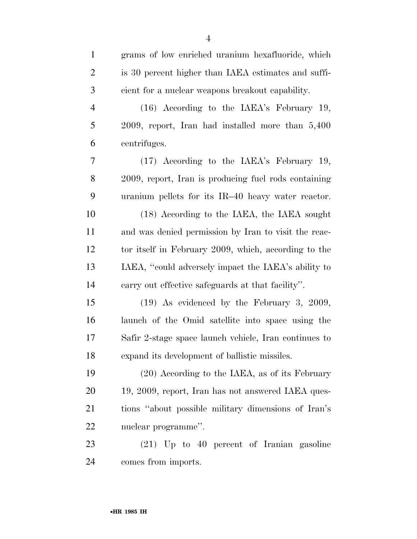| $\mathbf{1}$   | grams of low enriched uranium hexafluoride, which     |
|----------------|-------------------------------------------------------|
| $\overline{2}$ | is 30 percent higher than IAEA estimates and suffi-   |
| 3              | cient for a nuclear weapons breakout capability.      |
| $\overline{4}$ | (16) According to the IAEA's February 19,             |
| 5              | 2009, report, Iran had installed more than 5,400      |
| 6              | centrifuges.                                          |
| 7              | (17) According to the IAEA's February 19,             |
| 8              | 2009, report, Iran is producing fuel rods containing  |
| 9              | uranium pellets for its IR-40 heavy water reactor.    |
| 10             | (18) According to the IAEA, the IAEA sought           |
| 11             | and was denied permission by Iran to visit the reac-  |
| 12             | tor itself in February 2009, which, according to the  |
| 13             | IAEA, "could adversely impact the IAEA's ability to   |
| 14             | carry out effective safeguards at that facility".     |
| 15             | $(19)$ As evidenced by the February 3, 2009,          |
| 16             | launch of the Omid satellite into space using the     |
| 17             | Safir 2-stage space launch vehicle, Iran continues to |
| 18             | expand its development of ballistic missiles.         |
| 19             | (20) According to the IAEA, as of its February        |
| 20             | 19, 2009, report, Iran has not answered IAEA ques-    |
| 21             | tions "about possible military dimensions of Iran's   |
| 22             | nuclear programme".                                   |
| 23             | $(21)$ Up to 40 percent of Iranian gasoline           |

comes from imports.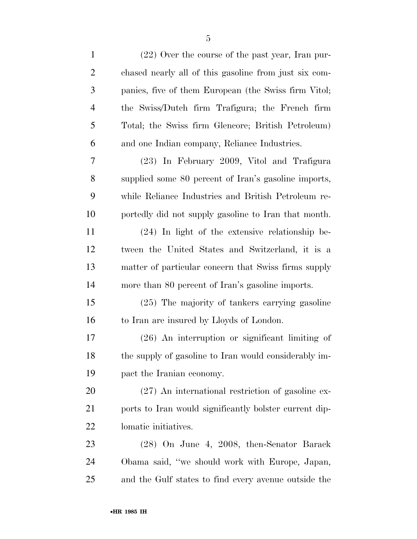| (22) Over the course of the past year, Iran pur-       |
|--------------------------------------------------------|
| chased nearly all of this gasoline from just six com-  |
| panies, five of them European (the Swiss firm Vitol;   |
| the Swiss/Dutch firm Trafigura; the French firm        |
| Total; the Swiss firm Glencore; British Petroleum)     |
| and one Indian company, Reliance Industries.           |
| (23) In February 2009, Vitol and Trafigura             |
| supplied some 80 percent of Iran's gasoline imports,   |
| while Reliance Industries and British Petroleum re-    |
| portedly did not supply gasoline to Iran that month.   |
| $(24)$ In light of the extensive relationship be-      |
| tween the United States and Switzerland, it is a       |
| matter of particular concern that Swiss firms supply   |
| more than 80 percent of Iran's gasoline imports.       |
| (25) The majority of tankers carrying gasoline         |
| to Iran are insured by Lloyds of London.               |
| $(26)$ An interruption or significant limiting of      |
| the supply of gasoline to Iran would considerably im-  |
| pact the Iranian economy.                              |
| $(27)$ An international restriction of gasoline ex-    |
| ports to Iran would significantly bolster current dip- |
| lomatic initiatives.                                   |
| (28) On June 4, 2008, then-Senator Barack              |
| Obama said, "we should work with Europe, Japan,        |
| and the Gulf states to find every avenue outside the   |
|                                                        |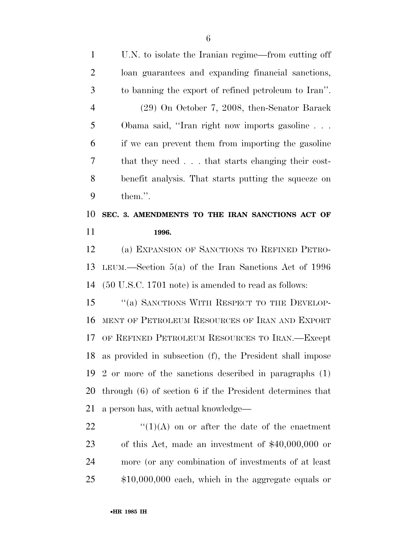U.N. to isolate the Iranian regime—from cutting off loan guarantees and expanding financial sanctions, to banning the export of refined petroleum to Iran''. (29) On October 7, 2008, then-Senator Barack Obama said, ''Iran right now imports gasoline . . . if we can prevent them from importing the gasoline that they need . . . that starts changing their cost- benefit analysis. That starts putting the squeeze on them.''. **SEC. 3. AMENDMENTS TO THE IRAN SANCTIONS ACT OF 1996.**  (a) EXPANSION OF SANCTIONS TO REFINED PETRO- LEUM.—Section 5(a) of the Iran Sanctions Act of 1996 (50 U.S.C. 1701 note) is amended to read as follows: 15 "(a) SANCTIONS WITH RESPECT TO THE DEVELOP- MENT OF PETROLEUM RESOURCES OF IRAN AND EXPORT OF REFINED PETROLEUM RESOURCES TO IRAN.—Except as provided in subsection (f), the President shall impose 2 or more of the sanctions described in paragraphs (1) through (6) of section 6 if the President determines that a person has, with actual knowledge—  $\frac{((1)(A)}{(1)(A)}$  on or after the date of the enactment of this Act, made an investment of \$40,000,000 or more (or any combination of investments of at least \$10,000,000 each, which in the aggregate equals or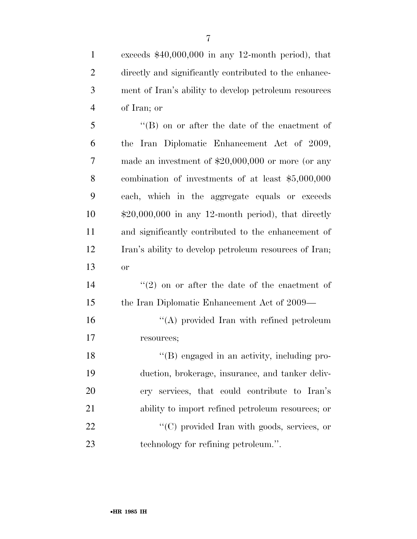exceeds \$40,000,000 in any 12-month period), that directly and significantly contributed to the enhance- ment of Iran's ability to develop petroleum resources of Iran; or ''(B) on or after the date of the enactment of the Iran Diplomatic Enhancement Act of 2009, made an investment of \$20,000,000 or more (or any

 combination of investments of at least \$5,000,000 each, which in the aggregate equals or exceeds \$20,000,000 in any 12-month period), that directly and significantly contributed to the enhancement of Iran's ability to develop petroleum resources of Iran; or

14  $(2)$  on or after the date of the enactment of the Iran Diplomatic Enhancement Act of 2009—

16 "(A) provided Iran with refined petroleum resources;

18 "(B) engaged in an activity, including pro- duction, brokerage, insurance, and tanker deliv- ery services, that could contribute to Iran's ability to import refined petroleum resources; or  $\langle ^{\prime}(C) \rangle$  provided Iran with goods, services, or technology for refining petroleum.''.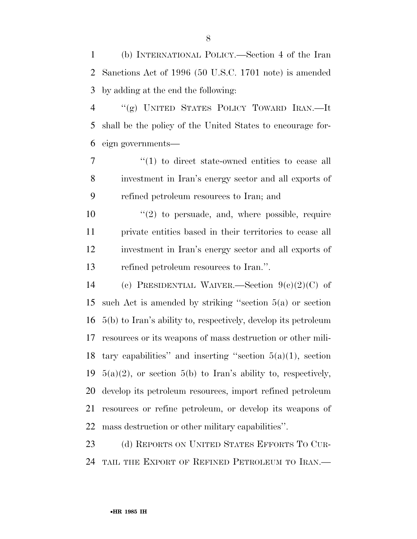(b) INTERNATIONAL POLICY.—Section 4 of the Iran Sanctions Act of 1996 (50 U.S.C. 1701 note) is amended by adding at the end the following:

 ''(g) UNITED STATES POLICY TOWARD IRAN.—It shall be the policy of the United States to encourage for-eign governments—

7  $\frac{1}{1}$  to direct state-owned entities to cease all investment in Iran's energy sector and all exports of refined petroleum resources to Iran; and

 $\frac{1}{2}$  to persuade, and, where possible, require private entities based in their territories to cease all investment in Iran's energy sector and all exports of refined petroleum resources to Iran.''.

 (c) PRESIDENTIAL WAIVER.—Section 9(c)(2)(C) of such Act is amended by striking ''section 5(a) or section 5(b) to Iran's ability to, respectively, develop its petroleum resources or its weapons of mass destruction or other mili-18 tary capabilities" and inserting "section  $5(a)(1)$ , section  $5(a)(2)$ , or section  $5(b)$  to Iran's ability to, respectively, develop its petroleum resources, import refined petroleum resources or refine petroleum, or develop its weapons of mass destruction or other military capabilities''.

23 (d) REPORTS ON UNITED STATES EFFORTS TO CUR-TAIL THE EXPORT OF REFINED PETROLEUM TO IRAN.—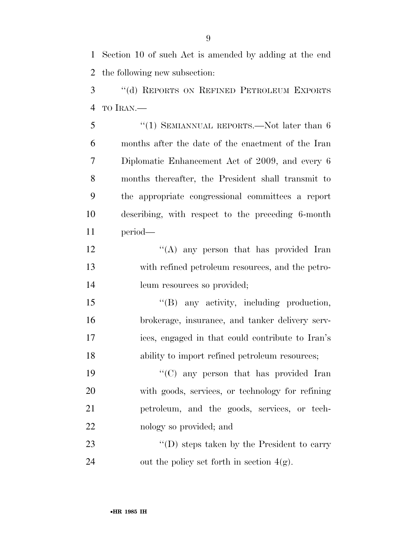Section 10 of such Act is amended by adding at the end the following new subsection:

 ''(d) REPORTS ON REFINED PETROLEUM EXPORTS TO IRAN.—

5 "(1) SEMIANNUAL REPORTS.—Not later than 6 months after the date of the enactment of the Iran Diplomatic Enhancement Act of 2009, and every 6 months thereafter, the President shall transmit to the appropriate congressional committees a report describing, with respect to the preceding 6-month period—

12 ''(A) any person that has provided Iran with refined petroleum resources, and the petro-14 leum resources so provided;

 ''(B) any activity, including production, brokerage, insurance, and tanker delivery serv- ices, engaged in that could contribute to Iran's ability to import refined petroleum resources;

 ''(C) any person that has provided Iran with goods, services, or technology for refining petroleum, and the goods, services, or tech-nology so provided; and

23 ''(D) steps taken by the President to carry 24 out the policy set forth in section  $4(g)$ .